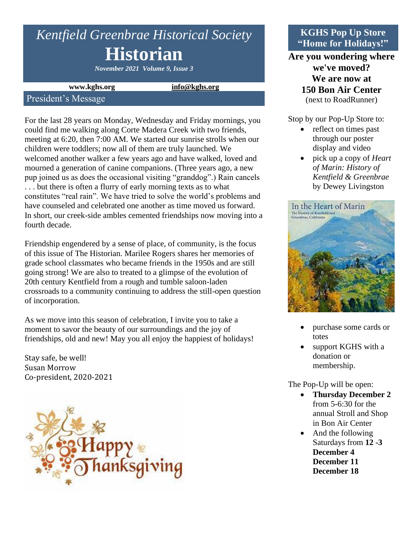# *Kentfield Greenbrae Historical Society* **Historian**

*November 2021 Volume 9, Issue 3*

**www.kghs.org [info@kghs.org](mailto:info@kghs.org)**

### President's Message

For the last 28 years on Monday, Wednesday and Friday mornings, you could find me walking along Corte Madera Creek with two friends, meeting at 6:20, then 7:00 AM. We started our sunrise strolls when our children were toddlers; now all of them are truly launched. We welcomed another walker a few years ago and have walked, loved and mourned a generation of canine companions. (Three years ago, a new pup joined us as does the occasional visiting "granddog".) Rain cancels . . . but there is often a flurry of early morning texts as to what constitutes "real rain". We have tried to solve the world's problems and have counseled and celebrated one another as time moved us forward. In short, our creek-side ambles cemented friendships now moving into a fourth decade.

Friendship engendered by a sense of place, of community, is the focus of this issue of The Historian. Marilee Rogers shares her memories of grade school classmates who became friends in the 1950s and are still going strong! We are also to treated to a glimpse of the evolution of 20th century Kentfield from a rough and tumble saloon-laden crossroads to a community continuing to address the still-open question of incorporation.

As we move into this season of celebration, I invite you to take a moment to savor the beauty of our surroundings and the joy of friendships, old and new! May you all enjoy the happiest of holidays!

Stay safe, be well! Susan Morrow Co-president, 2020-2021



## **KGHS Pop Up Store "Home for Holidays!"**

**Are you wondering where we've moved? We are now at 150 Bon Air Center** (next to RoadRunner)

Stop by our Pop-Up Store to:

- reflect on times past through our poster display and video
- pick up a copy of *Heart of Marin: History of Kentfield & Greenbrae* by Dewey Livingston



- purchase some cards or totes
- support KGHS with a donation or membership.

The Pop-Up will be open:

- **Thursday December 2** from 5-6:30 for the annual Stroll and Shop in Bon Air Center
- And the following Saturdays from **12 -3 December 4 December 11 December 18**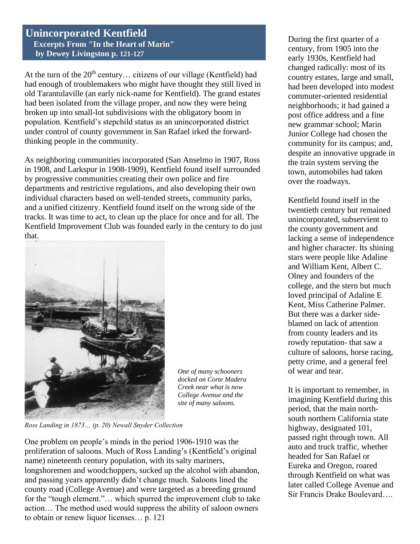### **Unincorporated Kentfield Excerpts From "In the Heart of Marin" by Dewey Livingston p. 121-127**

At the turn of the  $20<sup>th</sup>$  century... citizens of our village (Kentfield) had had enough of troublemakers who might have thought they still lived in old Tarantulaville (an early nick-name for Kentfield). The grand estates had been isolated from the village proper, and now they were being broken up into small-lot subdivisions with the obligatory boom in population. Kentfield's stepchild status as an unincorporated district under control of county government in San Rafael irked the forwardthinking people in the community.

As neighboring communities incorporated (San Anselmo in 1907, Ross in 1908, and Larkspur in 1908-1909), Kentfield found itself surrounded by progressive communities creating their own police and fire departments and restrictive regulations, and also developing their own individual characters based on well-tended streets, community parks, and a unified citizenry. Kentfield found itself on the wrong side of the tracks. It was time to act, to clean up the place for once and for all. The Kentfield Improvement Club was founded early in the century to do just that.



*One of many schooners docked on Corte Madera Creek near what is now College Avenue and the site of many saloons.* 

*Ross Landing in 1873… (p. 20) Newall Snyder Collection*

One problem on people's minds in the period 1906-1910 was the proliferation of saloons. Much of Ross Landing's (Kentfield's original name) nineteenth century population, with its salty mariners, longshoremen and woodchoppers, sucked up the alcohol with abandon, and passing years apparently didn't change much. Saloons lined the county road (College Avenue) and were targeted as a breeding ground for the "tough element."… which spurred the improvement club to take action… The method used would suppress the ability of saloon owners to obtain or renew liquor licenses… p. 121

During the first quarter of a century, from 1905 into the early 1930s, Kentfield had changed radically: most of its country estates, large and small, had been developed into modest commuter-oriented residential neighborhoods; it had gained a post office address and a fine new grammar school; Marin Junior College had chosen the community for its campus; and, despite an innovative upgrade in the train system serving the town, automobiles had taken over the roadways.

Kentfield found itself in the twentieth century but remained unincorporated, subservient to the county government and lacking a sense of independence and higher character. Its shining stars were people like Adaline and William Kent, Albert C. Olney and founders of the college, and the stern but much loved principal of Adaline E Kent, Miss Catherine Palmer. But there was a darker sideblamed on lack of attention from county leaders and its rowdy reputation- that saw a culture of saloons, horse racing, petty crime, and a general feel of wear and tear.

It is important to remember, in imagining Kentfield during this period, that the main northsouth northern California state highway, designated 101, passed right through town. All auto and truck traffic, whether headed for San Rafael or Eureka and Oregon, roared through Kentfield on what was later called College Avenue and Sir Francis Drake Boulevard….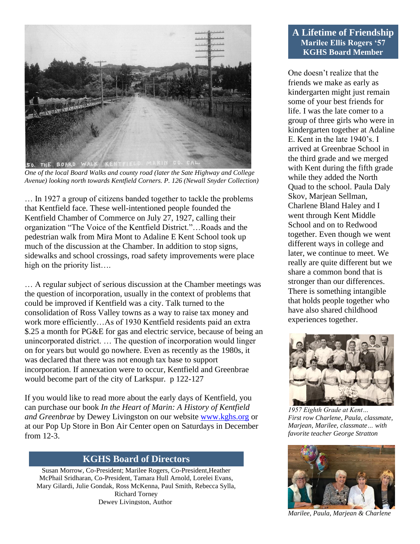

*One of the local Board Walks and county road (later the Sate Highway and College Avenue) looking north towards Kentfield Corners. P. 126 (Newall Snyder Collection)*

… In 1927 a group of citizens banded together to tackle the problems that Kentfield face. These well-intentioned people founded the Kentfield Chamber of Commerce on July 27, 1927, calling their organization "The Voice of the Kentfield District."…Roads and the pedestrian walk from Mira Mont to Adaline E Kent School took up much of the discussion at the Chamber. In addition to stop signs, sidewalks and school crossings, road safety improvements were place high on the priority list….

… A regular subject of serious discussion at the Chamber meetings was the question of incorporation, usually in the context of problems that could be improved if Kentfield was a city. Talk turned to the consolidation of Ross Valley towns as a way to raise tax money and work more efficiently…As of 1930 Kentfield residents paid an extra \$.25 a month for PG&E for gas and electric service, because of being an unincorporated district. … The question of incorporation would linger on for years but would go nowhere. Even as recently as the 1980s, it was declared that there was not enough tax base to support incorporation. If annexation were to occur, Kentfield and Greenbrae would become part of the city of Larkspur. p 122-127

If you would like to read more about the early days of Kentfield, you can purchase our book *In the Heart of Marin: A History of Kentfield and Greenbrae* by Dewey Livingston on our website [www.kghs.org](http://www.kghs.org/) or at our Pop Up Store in Bon Air Center open on Saturdays in December from 12-3.

#### **KGHS Board of Directors**

Susan Morrow, Co-President; Marilee Rogers, Co-President,Heather McPhail Sridharan, Co-President, Tamara Hull Arnold, Lorelei Evans, Mary Gilardi, Julie Gondak, Ross McKenna, Paul Smith, Rebecca Sylla, Richard Torney Dewey Livingston, Author

### **A Lifetime of Friendship Marilee Ellis Rogers '57 KGHS Board Member**

One doesn't realize that the friends we make as early as kindergarten might just remain some of your best friends for life. I was the late comer to a group of three girls who were in kindergarten together at Adaline E. Kent in the late 1940's. I arrived at Greenbrae School in the third grade and we merged with Kent during the fifth grade while they added the North Quad to the school. Paula Daly Skov, Marjean Sellman, Charlene Bland Haley and I went through Kent Middle School and on to Redwood together. Even though we went different ways in college and later, we continue to meet. We really are quite different but we share a common bond that is stronger than our differences. There is something intangible that holds people together who have also shared childhood experiences together.



*1957 Eighth Grade at Kent… First row Charlene, Paula, classmate, Marjean, Marilee, classmate… with favorite teacher George Stratton*



*Marilee, Paula, Marjean & Charlene*